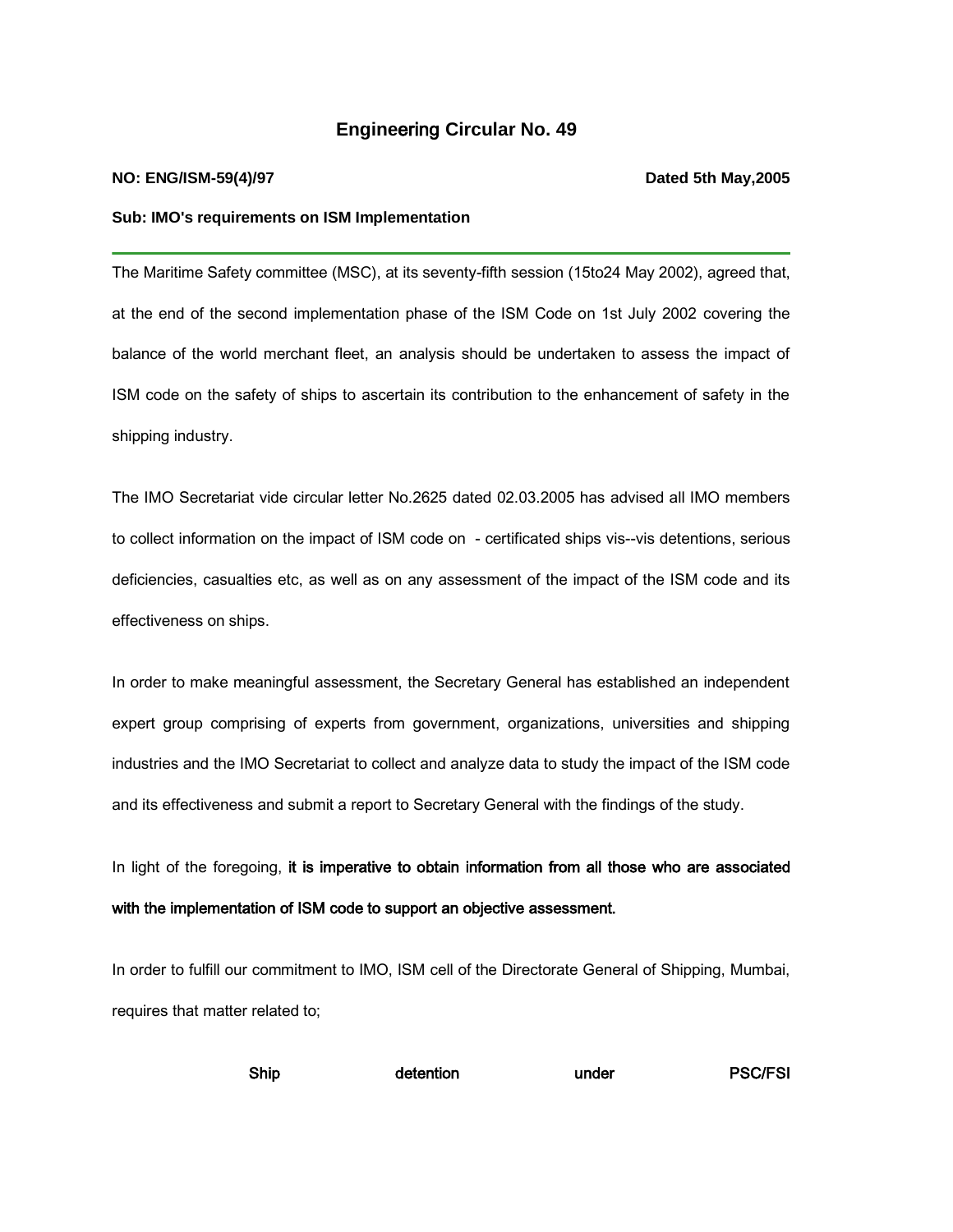## **Engine**ering **Circular No. 49**

## **NO: ENG/ISM-59(4)/97 Dated 5th May,2005**

### **Sub: IMO's requirements on ISM Implementation**

The Maritime Safety committee (MSC), at its seventy-fifth session (15to24 May 2002), agreed that, at the end of the second implementation phase of the ISM Code on 1st July 2002 covering the balance of the world merchant fleet, an analysis should be undertaken to assess the impact of ISM code on the safety of ships to ascertain its contribution to the enhancement of safety in the shipping industry.

The IMO Secretariat vide circular letter No.2625 dated 02.03.2005 has advised all IMO members to collect information on the impact of ISM code on - certificated ships vis--vis detentions, serious deficiencies, casualties etc, as well as on any assessment of the impact of the ISM code and its effectiveness on ships.

In order to make meaningful assessment, the Secretary General has established an independent expert group comprising of experts from government, organizations, universities and shipping industries and the IMO Secretariat to collect and analyze data to study the impact of the ISM code and its effectiveness and submit a report to Secretary General with the findings of the study.

In light of the foregoing, it is imperative to obtain information from all those who are associated with the implementation of ISM code to support an objective assessment.

In order to fulfill our commitment to IMO, ISM cell of the Directorate General of Shipping, Mumbai, requires that matter related to;

Ship detention under PSC/FSI